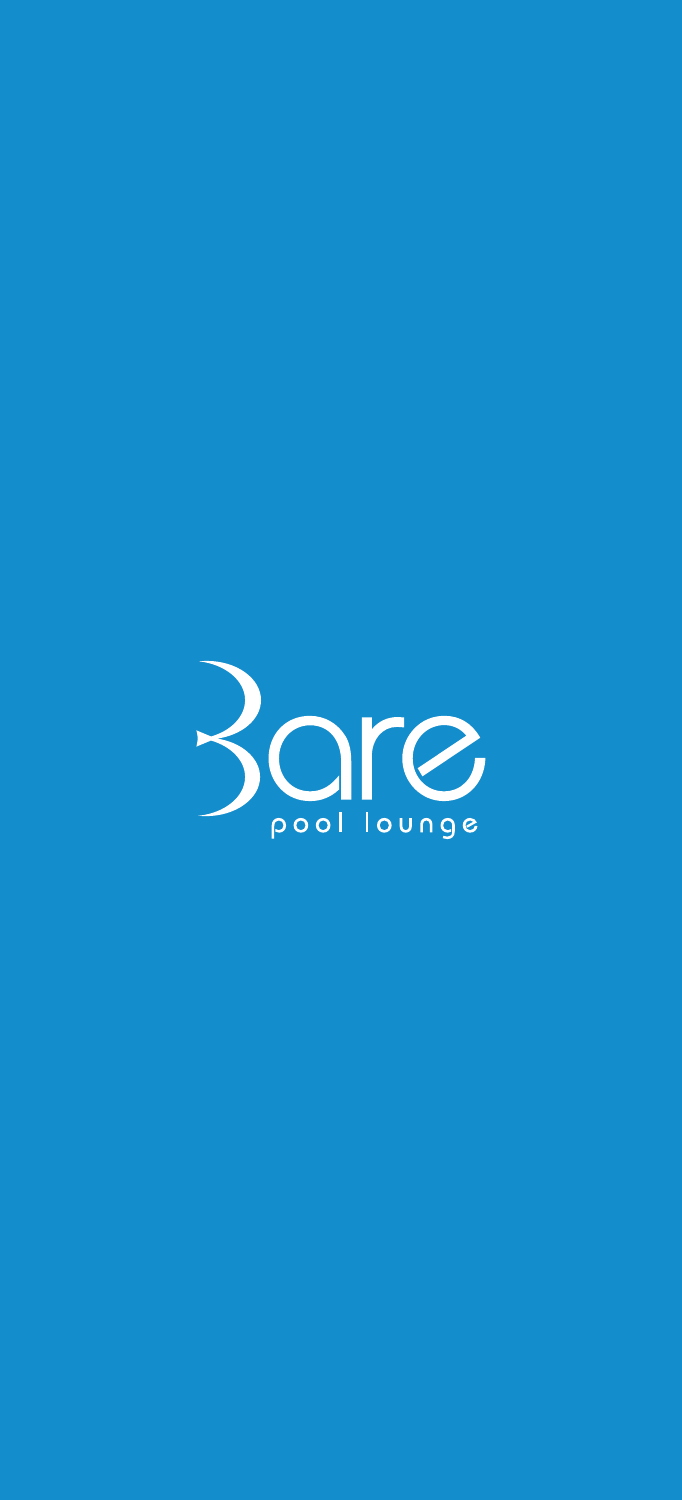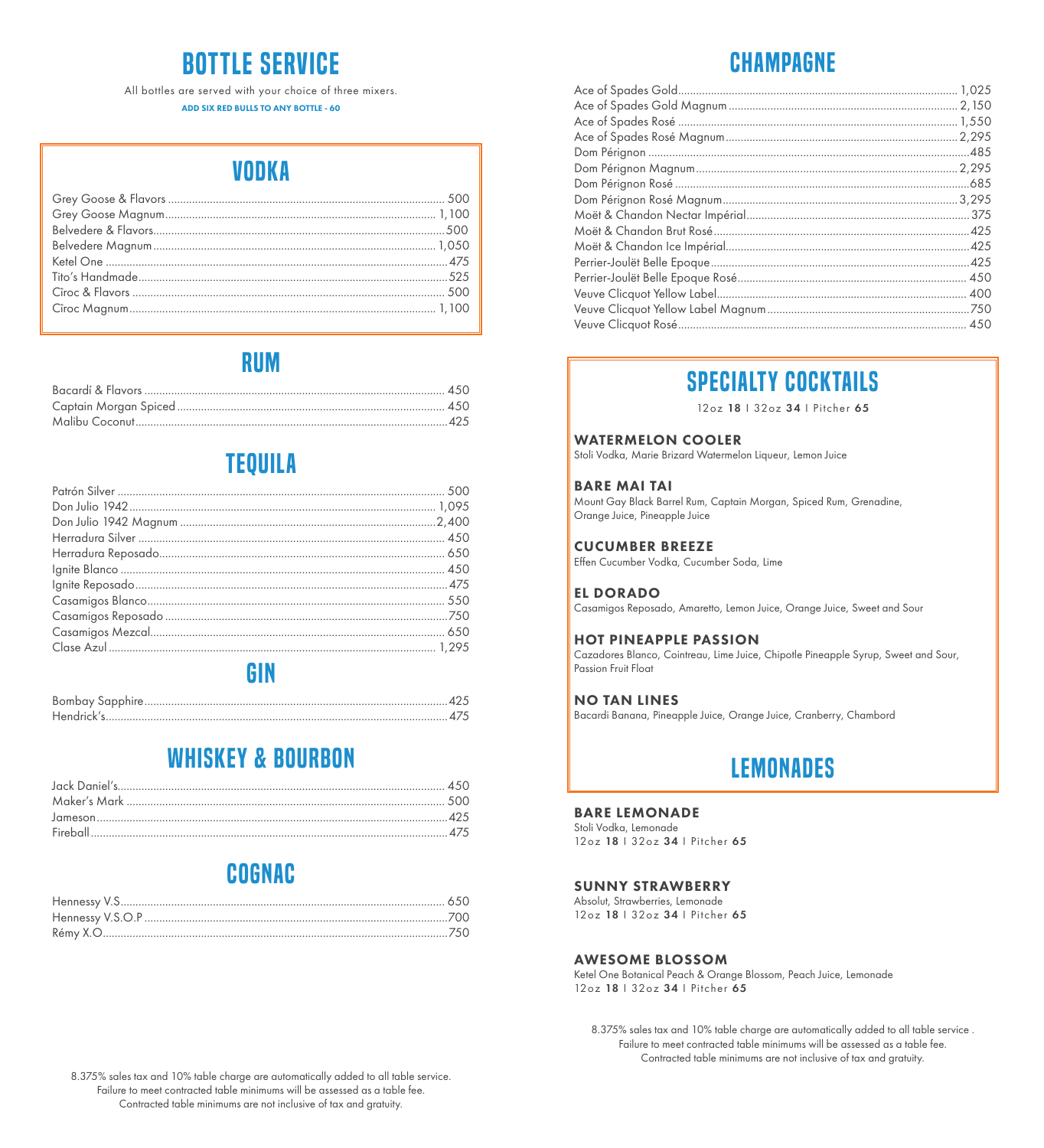# Bottle service

All bottles are served with your choice of three mixers. ADD SIX RED BULLS TO ANY BOTTLE - 60

## VODKA

### rum

### **TEQUILA**

### gin

Bombay Sapphire ......................................................................................................425 Hendrick's ...................................................................................................................475

### whiskey & bourbon

### cognac

# Champagne

### specialty cocktails

12oz 18 І 32oz 34 І Pitcher 65

#### WATERMELON COOLER

Stoli Vodka, Marie Brizard Watermelon Liqueur, Lemon Juice

#### BARE MAI TAI

Mount Gay Black Barrel Rum, Captain Morgan, Spiced Rum, Grenadine, Orange Juice, Pineapple Juice

#### CUCUMBER BREEZE

Effen Cucumber Vodka, Cucumber Soda, Lime

#### EL DORADO

Casamigos Reposado, Amaretto, Lemon Juice, Orange Juice, Sweet and Sour

#### HOT PINEAPPLE PASSION

Cazadores Blanco, Cointreau, Lime Juice, Chipotle Pineapple Syrup, Sweet and Sour, Passion Fruit Float

#### NO TAN LINES

Bacardi Banana, Pineapple Juice, Orange Juice, Cranberry, Chambord

### **LEMONADES**

#### BARE LEMONADE

Stoli Vodka, Lemonade 12oz 18 І 32oz 34 І Pitcher 65

#### SUNNY STRAWBERRY

Absolut, Strawberries, Lemonade 12oz 18 | 32oz 34 | Pitcher 65

#### AWESOME BLOSSOM

Ketel One Botanical Peach & Orange Blossom, Peach Juice, Lemonade 12oz 18 І 32oz 34 І Pitcher 65

8.375% sales tax and 10% table charge are automatically added to all table service . Failure to meet contracted table minimums will be assessed as a table fee. Contracted table minimums are not inclusive of tax and gratuity.

8.375% sales tax and 10% table charge are automatically added to all table service. Failure to meet contracted table minimums will be assessed as a table fee. Contracted table minimums are not inclusive of tax and gratuity.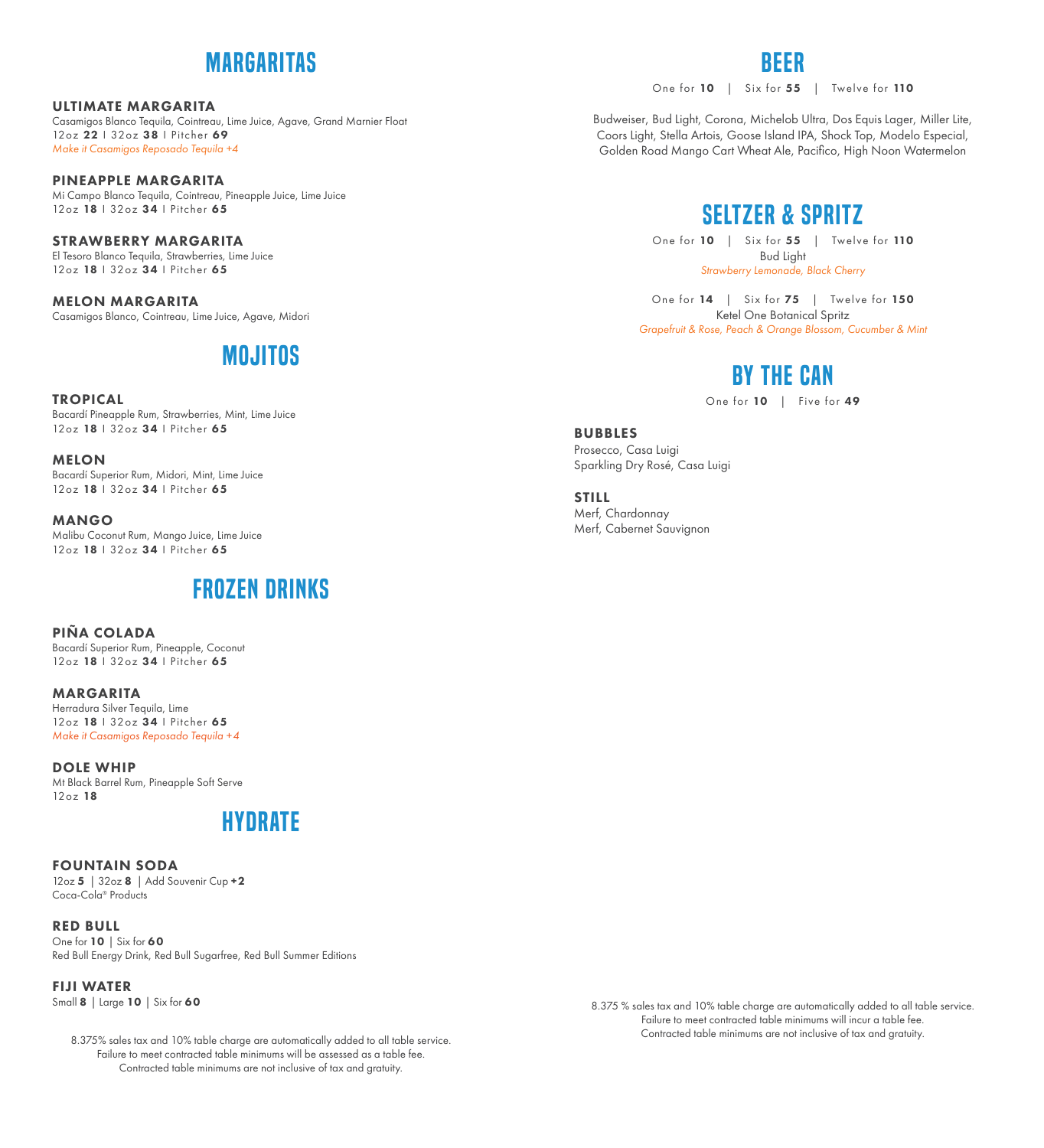### margaritas

ULTIMATE MARGARITA Casamigos Blanco Tequila, Cointreau, Lime Juice, Agave, Grand Marnier Float 12oz 22 | 32oz 38 | Pitcher 69 *Make it Casamigos Reposado Tequila +4*

PINEAPPLE MARGARITA Mi Campo Blanco Tequila, Cointreau, Pineapple Juice, Lime Juice 12oz 18 | 32oz 34 | Pitcher 65

STRAWBERRY MARGARITA El Tesoro Blanco Tequila, Strawberries, Lime Juice 12oz 18 | 32oz 34 | Pitcher 65

MELON MARGARITA Casamigos Blanco, Cointreau, Lime Juice, Agave, Midori

## **MOJITOS**

#### TROPICAL

Bacardí Pineapple Rum, Strawberries, Mint, Lime Juice 12oz 18 І 32oz 34 І Pitcher 65

MELON Bacardí Superior Rum, Midori, Mint, Lime Juice 12oz 18 | 32oz 34 | Pitcher 65

MANGO Malibu Coconut Rum, Mango Juice, Lime Juice 12oz 18 І 32oz 34 І Pitcher 65

### frozen drinks

PIÑA COLADA Bacardí Superior Rum, Pineapple, Coconut 12oz 18 | 32oz 34 | Pitcher 65

MARGARITA Herradura Silver Tequila, Lime 12oz 18 | 32oz 34 | Pitcher 65 *Make it Casamigos Reposado Tequila +4*

DOLE WHIP Mt Black Barrel Rum, Pineapple Soft Serve 12oz 18

### hydrate

FOUNTAIN SODA 12oz 5 | 32oz 8 | Add Souvenir Cup + 2 Coca-Cola® Products

RED BULL One for 10 | Six for 60 Red Bull Energy Drink, Red Bull Sugarfree, Red Bull Summer Editions

FIJI WATER Small 8 | Large 10 | Six for 60

> 8.375% sales tax and 10% table charge are automatically added to all table service. Failure to meet contracted table minimums will be assessed as a table fee. Contracted table minimums are not inclusive of tax and gratuity.

One for 10 | Six for 55 | Twelve for 110

Budweiser, Bud Light, Corona, Michelob Ultra, Dos Equis Lager, Miller Lite, Coors Light, Stella Artois, Goose Island IPA, Shock Top, Modelo Especial, Golden Road Mango Cart Wheat Ale, Pacifico, High Noon Watermelon

BEER

### SELTZER & Spritz

One for 10 | Six for 55 | Twelve for 110 Bud Light *Strawberry Lemonade, Black Cherry*

One for 14 | Six for 75 | Twelve for 150 Ketel One Botanical Spritz *Grapefruit & Rose, Peach & Orange Blossom, Cucumber & Mint*

## BY THE CAN

One for 10 | Five for 49

**BUBBLES** Prosecco, Casa Luigi Sparkling Dry Rosé, Casa Luigi

**STILL** Merf, Chardonnay Merf, Cabernet Sauvignon

> 8.375 % sales tax and 10% table charge are automatically added to all table service. Failure to meet contracted table minimums will incur a table fee. Contracted table minimums are not inclusive of tax and gratuity.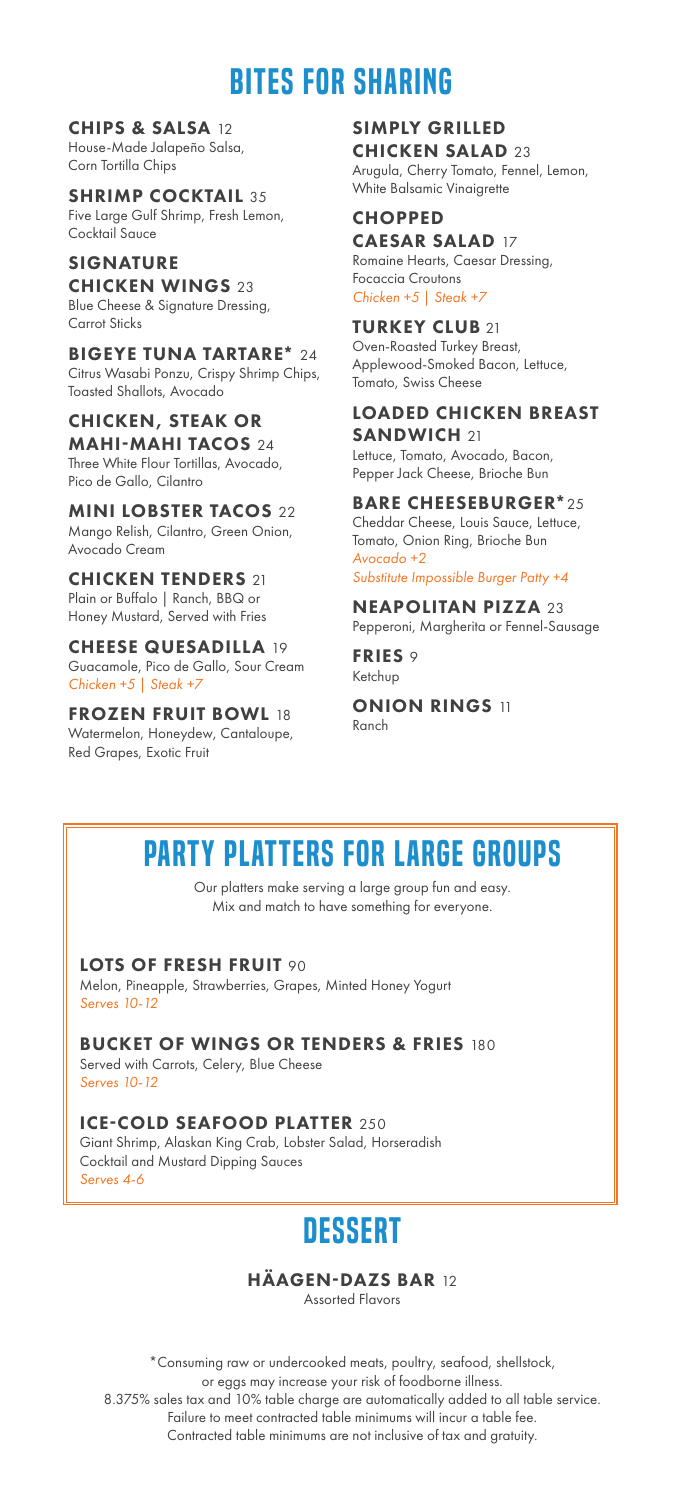## bites for sharing

CHIPS & SALSA 12 House-Made Jalapeño Salsa, Corn Tortilla Chips

**SHRIMP COCKTAIL 35** Five Large Gulf Shrimp, Fresh Lemon, Cocktail Sauce

SIGNATURE **CHICKEN WINGS 23** Blue Cheese & Signature Dressing, Carrot Sticks

BIGEYE TUNA TARTARE\* 24 Citrus Wasabi Ponzu, Crispy Shrimp Chips, Toasted Shallots, Avocado

CHICKEN, STEAK OR MAHI-MAHI TACOS 24 Three White Flour Tortillas, Avocado, Pico de Gallo, Cilantro

MINI LOBSTER TACOS 22 Mango Relish, Cilantro, Green Onion, Avocado Cream

CHICKEN TENDERS 21 Plain or Buffalo | Ranch, BBQ or Honey Mustard, Served with Fries

CHEESE QUESADILLA 19 Guacamole, Pico de Gallo, Sour Cream *Chicken +5 | Steak +7*

FROZEN FRUIT BOWL 18 Watermelon, Honeydew, Cantaloupe, Red Grapes, Exotic Fruit

SIMPLY GRILLED CHICKEN SALAD 23 Arugula, Cherry Tomato, Fennel, Lemon, White Balsamic Vinaigrette

**CHOPPED** CAESAR SALAD 17 Romaine Hearts, Caesar Dressing, Focaccia Croutons *Chicken +5 | Steak +7*

TURKEY CLUB 21 Oven-Roasted Turkey Breast, Applewood-Smoked Bacon, Lettuce, Tomato, Swiss Cheese

LOADED CHICKEN BREAST SANDWICH 21 Lettuce, Tomato, Avocado, Bacon, Pepper Jack Cheese, Brioche Bun

BARE CHEESEBURGER\*25 Cheddar Cheese, Louis Sauce, Lettuce, Tomato, Onion Ring, Brioche Bun *Avocado +2 Substitute Impossible Burger Patty +4*

NEAPOLITAN PIZZA 23 Pepperoni, Margherita or Fennel-Sausage

FRIES 9 Ketchup

**ONION RINGS 11** Ranch

# party platters for large groups

Our platters make serving a large group fun and easy. Mix and match to have something for everyone.

#### LOTS OF FRESH FRUIT 90

*Serves 4-6*

Melon, Pineapple, Strawberries, Grapes, Minted Honey Yogurt *Serves 10-12* 

**BUCKET OF WINGS OR TENDERS & FRIES 180** Served with Carrots, Celery, Blue Cheese *Serves 10-12* 

ICE-COLD SEAFOOD PLATTER 250 Giant Shrimp, Alaskan King Crab, Lobster Salad, Horseradish Cocktail and Mustard Dipping Sauces

## **DESSERT**

HÄAGEN-DAZS BAR 12

Assorted Flavors

\*Consuming raw or undercooked meats, poultry, seafood, shellstock, or eggs may increase your risk of foodborne illness. 8.375% sales tax and 10% table charge are automatically added to all table service. Failure to meet contracted table minimums will incur a table fee. Contracted table minimums are not inclusive of tax and gratuity.